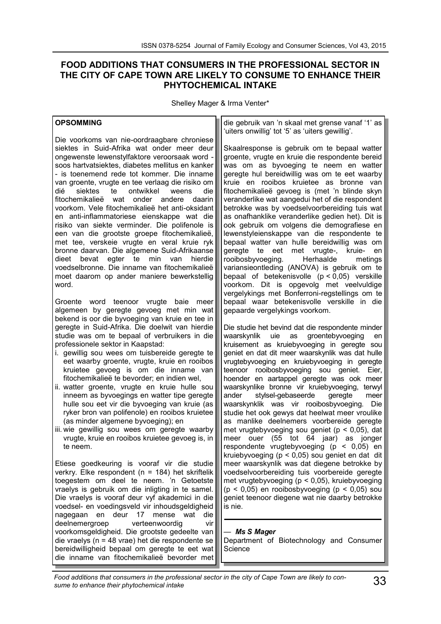# **FOOD ADDITIONS THAT CONSUMERS IN THE PROFESSIONAL SECTOR IN THE CITY OF CAPE TOWN ARE LIKELY TO CONSUME TO ENHANCE THEIR PHYTOCHEMICAL INTAKE**

Shelley Mager & Irma Venter\*

#### **OPSOMMING**

Die voorkoms van nie-oordraagbare chroniese siektes in Suid-Afrika wat onder meer deur ongewenste lewenstylfaktore veroorsaak word soos hartvatsiektes, diabetes mellitus en kanker - is toenemend rede tot kommer. Die inname van groente, vrugte en tee verlaag die risiko om<br>dié siektes te ontwikkel weens die dié siektes te ontwikkel weens die fitochemikalieë wat onder andere daarin voorkom. Vele fitochemikalieë het anti-oksidant en anti-inflammatoriese eienskappe wat die risiko van siekte verminder. Die polifenole is een van die grootste groepe fitochemikalieë, met tee, verskeie vrugte en veral kruie ryk bronne daarvan. Die algemene Suid-Afrikaanse dieet bevat egter te min van hierdie voedselbronne. Die inname van fitochemikalieë moet daarom op ander maniere bewerkstellig word.

Groente word teenoor vrugte baie meer algemeen by geregte gevoeg met min wat bekend is oor die byvoeging van kruie en tee in geregte in Suid-Afrika. Die doelwit van hierdie studie was om te bepaal of verbruikers in die professionele sektor in Kaapstad:

- i. gewillig sou wees om tuisbereide geregte te eet waarby groente, vrugte, kruie en rooibos kruietee gevoeg is om die inname van fitochemikalieë te bevorder; en indien wel,
- ii. watter groente, vrugte en kruie hulle sou inneem as byvoegings en watter tipe geregte hulle sou eet vir die byvoeging van kruie (as ryker bron van polifenole) en rooibos kruietee (as minder algemene byvoeging); en
- iii. wie gewillig sou wees om geregte waarby vrugte, kruie en rooibos kruietee gevoeg is, in te neem.

Etiese goedkeuring is vooraf vir die studie verkry. Elke respondent (n = 184) het skriftelik toegestem om deel te neem. 'n Getoetste vraelys is gebruik om die inligting in te samel. Die vraelys is vooraf deur vyf akademici in die voedsel- en voedingsveld vir inhoudsgeldigheid nagegaan en deur 17 mense wat die deelnemergroep verteenwoordig vir voorkomsgeldigheid. Die grootste gedeelte van die vraelys (n = 48 vrae) het die respondente se bereidwilligheid bepaal om geregte te eet wat die inname van fitochemikalieë bevorder met

die gebruik van 'n skaal met grense vanaf '1' as 'uiters onwillig' tot '5' as 'uiters gewillig'.

Skaalresponse is gebruik om te bepaal watter groente, vrugte en kruie die respondente bereid was om as byvoeging te neem en watter geregte hul bereidwillig was om te eet waarby kruie en rooibos kruietee as bronne van fitochemikalieë gevoeg is (met 'n blinde skyn veranderlike wat aangedui het of die respondent betrokke was by voedselvoorbereiding tuis wat as onafhanklike veranderlike gedien het). Dit is ook gebruik om volgens die demografiese en lewenstyleienskappe van die respondente te bepaal watter van hulle bereidwillig was om geregte te eet met vrugte-, kruie- en<br>rooibosbyvoeging. Herhaalde metings rooibosbyvoeging. Herhaalde variansieontleding (ANOVA) is gebruik om te bepaal of betekenisvolle (p < 0,05) verskille voorkom. Dit is opgevolg met veelvuldige vergelykings met Bonferroni-regstellings om te bepaal waar betekenisvolle verskille in die gepaarde vergelykings voorkom.

Die studie het bevind dat die respondente minder waarskynlik uie as groentebyvoeging en kruisement as kruiebyvoeging in geregte sou geniet en dat dit meer waarskynlik was dat hulle vrugtebyvoeging en kruiebyvoeging in geregte teenoor rooibosbyvoeging sou geniet. Eier, hoender en aartappel geregte was ook meer waarskynlike bronne vir kruiebyvoeging, terwyl<br>ander stylsel-gebaseerde geregte meer stylsel-gebaseerde geregte meer waarskynklik was vir rooibosbyvoeging. Die studie het ook gewys dat heelwat meer vroulike as manlike deelnemers voorbereide geregte met vrugtebyvoeging sou geniet (p < 0,05), dat meer ouer (55 tot 64 jaar) as jonger respondente vrugtebyvoeging (p < 0,05) en kruiebyvoeging (p < 0,05) sou geniet en dat dit meer waarskynlik was dat diegene betrokke by voedselvoorbereiding tuis voorbereide geregte met vrugtebyvoeging (p < 0,05), kruiebyvoeging  $(p < 0.05)$  en rooibosbyvoeging  $(p < 0.05)$  sou geniet teenoor diegene wat nie daarby betrokke is nie.

#### *— Ms S Mager*

Department of Biotechnology and Consumer **Science**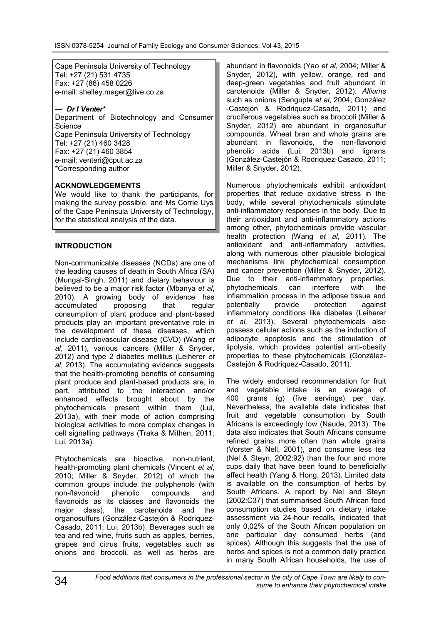Cape Peninsula University of Technology Tel: +27 (21) 531 4735 Fax: +27 (86) 458 0226 e-mail: shelley.mager@live.co.za

#### *— Dr I Venter\**

Department of Biotechnology and Consumer **Science** Cape Peninsula University of Technology Tel: +27 (21) 460 3428 Fax: +27 (21) 460 3854 e-mail: venteri@cput.ac.za \*Corresponding author

## **ACKNOWLEDGEMENTS**

We would like to thank the participants, for making the survey possible, and Ms Corrie Uys of the Cape Peninsula University of Technology, for the statistical analysis of the data.

#### **INTRODUCTION**

Non-communicable diseases (NCDs) are one of the leading causes of death in South Africa (SA) (Mungal-Singh, 2011) and dietary behaviour is believed to be a major risk factor (Mbanya *et al*, 2010). A growing body of evidence has accumulated proposing that regular consumption of plant produce and plant-based products play an important preventative role in the development of these diseases, which include cardiovascular disease (CVD) (Wang *et al*, 2011), various cancers (Miller & Snyder, 2012) and type 2 diabetes mellitus (Leiherer *et al*, 2013). The accumulating evidence suggests that the health-promoting benefits of consuming plant produce and plant-based products are, in part, attributed to the interaction and/or enhanced effects brought about by the phytochemicals present within them (Lui, 2013a), with their mode of action comprising biological activities to more complex changes in cell signalling pathways (Traka & Mithen, 2011; Lui, 2013a).

Phytochemicals are bioactive, non-nutrient, health-promoting plant chemicals (Vincent *et al*, 2010; Miller & Snyder, 2012) of which the common groups include the polyphenols (with non-flavonoid phenolic compounds and non-flavonoid phenolic compounds and flavonoids as its classes and flavonoids the major class), the carotenoids and the organosulfurs (González-Castejón & Rodriquez-Casado, 2011; Lui, 2013b). Beverages such as tea and red wine, fruits such as apples, berries, grapes and citrus fruits, vegetables such as onions and broccoli, as well as herbs are abundant in flavonoids (Yao *et al*, 2004; Miller & Snyder, 2012), with yellow, orange, red and deep-green vegetables and fruit abundant in carotenoids (Miller & Snyder, 2012). *Alliums* such as onions (Sengupta *et al*, 2004; González -Castejón & Rodriquez-Casado, 2011) and cruciferous vegetables such as broccoli (Miller & Snyder, 2012) are abundant in organosulfur compounds. Wheat bran and whole grains are abundant in flavonoids, the non-flavonoid phenolic acids (Lui, 2013b) and lignans (González-Castejón & Rodriquez-Casado, 2011; Miller & Snyder, 2012).

Numerous phytochemicals exhibit antioxidant properties that reduce oxidative stress in the body, while several phytochemicals stimulate anti-inflammatory responses in the body. Due to their antioxidant and anti-inflammatory actions among other, phytochemicals provide vascular health protection (Wang *et al*, 2011). The antioxidant and anti-inflammatory activities, along with numerous other plausible biological mechanisms link phytochemical consumption and cancer prevention (Miller & Snyder, 2012). Due to their anti-inflammatory properties, phytochemicals can interfere with the inflammation process in the adipose tissue and<br>potentially provide protection against potentially provide protection against inflammatory conditions like diabetes (Leiherer *et al,* 2013). Several phytochemicals also possess cellular actions such as the induction of adipocyte apoptosis and the stimulation of lipolysis, which provides potential anti-obesity properties to these phytochemicals (González-Castejón & Rodriquez-Casado, 2011).

The widely endorsed recommendation for fruit and vegetable intake is an average of 400 grams (g) (five servings) per day. Nevertheless, the available data indicates that fruit and vegetable consumption by South Africans is exceedingly low (Naude, 2013). The data also indicates that South Africans consume refined grains more often than whole grains (Vorster & Nell, 2001), and consume less tea (Nel & Steyn, 2002:92) than the four and more cups daily that have been found to beneficially affect health (Yang & Hong, 2013). Limited data is available on the consumption of herbs by South Africans. A report by Nel and Steyn (2002:C37) that summarised South African food consumption studies based on dietary intake assessment via 24-hour recalls, indicated that only 0,02% of the South African population on one particular day consumed herbs (and spices). Although this suggests that the use of herbs and spices is not a common daily practice in many South African households, the use of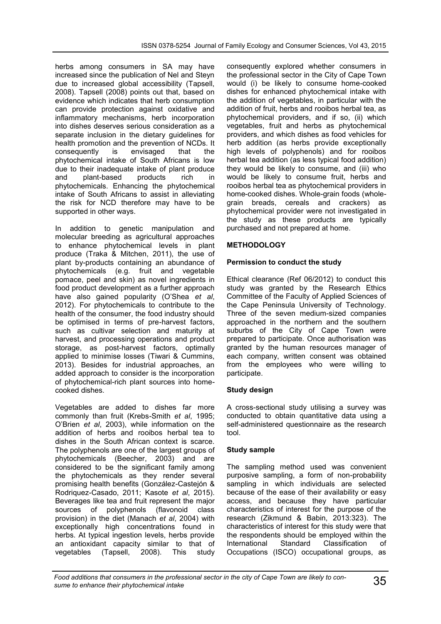herbs among consumers in SA may have increased since the publication of Nel and Steyn due to increased global accessibility (Tapsell, 2008). Tapsell (2008) points out that, based on evidence which indicates that herb consumption can provide protection against oxidative and inflammatory mechanisms, herb incorporation into dishes deserves serious consideration as a separate inclusion in the dietary guidelines for health promotion and the prevention of NCDs. It consequently is envisaged that the phytochemical intake of South Africans is low due to their inadequate intake of plant produce<br>and plant-based products rich in and plant-based products rich in phytochemicals. Enhancing the phytochemical intake of South Africans to assist in alleviating the risk for NCD therefore may have to be supported in other ways.

In addition to genetic manipulation and molecular breeding as agricultural approaches to enhance phytochemical levels in plant produce (Traka & Mitchen, 2011), the use of plant by-products containing an abundance of phytochemicals (e.g. fruit and vegetable pomace, peel and skin) as novel ingredients in food product development as a further approach have also gained popularity (O'Shea *et al*, 2012). For phytochemicals to contribute to the health of the consumer, the food industry should be optimised in terms of pre-harvest factors, such as cultivar selection and maturity at harvest, and processing operations and product storage, as post-harvest factors, optimally applied to minimise losses (Tiwari & Cummins, 2013). Besides for industrial approaches, an added approach to consider is the incorporation of phytochemical-rich plant sources into homecooked dishes.

Vegetables are added to dishes far more commonly than fruit (Krebs-Smith *et al*, 1995; O'Brien *et al*, 2003), while information on the addition of herbs and rooibos herbal tea to dishes in the South African context is scarce. The polyphenols are one of the largest groups of phytochemicals (Beecher, 2003) and are considered to be the significant family among the phytochemicals as they render several promising health benefits (González-Castejón & Rodriquez-Casado, 2011; Kasote *et al*, 2015). Beverages like tea and fruit represent the major sources of polyphenols (flavonoid class provision) in the diet (Manach *et al*, 2004) with exceptionally high concentrations found in herbs. At typical ingestion levels, herbs provide an antioxidant capacity similar to that of vegetables (Tapsell, 2008). This study

consequently explored whether consumers in the professional sector in the City of Cape Town would (i) be likely to consume home-cooked dishes for enhanced phytochemical intake with the addition of vegetables, in particular with the addition of fruit, herbs and rooibos herbal tea, as phytochemical providers, and if so, (ii) which vegetables, fruit and herbs as phytochemical providers, and which dishes as food vehicles for herb addition (as herbs provide exceptionally high levels of polyphenols) and for rooibos herbal tea addition (as less typical food addition) they would be likely to consume, and (iii) who would be likely to consume fruit, herbs and rooibos herbal tea as phytochemical providers in home-cooked dishes. Whole-grain foods (wholegrain breads, cereals and crackers) as phytochemical provider were not investigated in the study as these products are typically purchased and not prepared at home.

# **METHODOLOGY**

## **Permission to conduct the study**

Ethical clearance (Ref 06/2012) to conduct this study was granted by the Research Ethics Committee of the Faculty of Applied Sciences of the Cape Peninsula University of Technology. Three of the seven medium-sized companies approached in the northern and the southern suburbs of the City of Cape Town were prepared to participate. Once authorisation was granted by the human resources manager of each company, written consent was obtained from the employees who were willing to participate.

## **Study design**

A cross-sectional study utilising a survey was conducted to obtain quantitative data using a self-administered questionnaire as the research tool.

## **Study sample**

The sampling method used was convenient purposive sampling, a form of non-probability sampling in which individuals are selected because of the ease of their availability or easy access, and because they have particular characteristics of interest for the purpose of the research (Zikmund & Babin, 2013:323). The characteristics of interest for this study were that the respondents should be employed within the International Standard Classification of Occupations (ISCO) occupational groups, as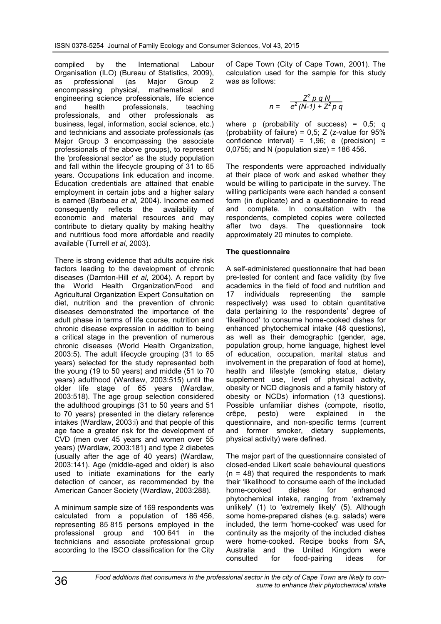compiled by the International Labour Organisation (ILO) (Bureau of Statistics, 2009), as professional (as Major Group 2 encompassing physical, mathematical and engineering science professionals, life science and health professionals, teaching professionals, and other professionals as business, legal, information, social science, etc.) and technicians and associate professionals (as Major Group 3 encompassing the associate professionals of the above groups), to represent the 'professional sector' as the study population and fall within the lifecycle grouping of 31 to 65 years. Occupations link education and income. Education credentials are attained that enable employment in certain jobs and a higher salary is earned (Barbeau *et al*, 2004). Income earned consequently reflects the availability of economic and material resources and may contribute to dietary quality by making healthy and nutritious food more affordable and readily available (Turrell *et al*, 2003).

There is strong evidence that adults acquire risk factors leading to the development of chronic diseases (Darnton-Hill *et al*, 2004). A report by the World Health Organization/Food and Agricultural Organization Expert Consultation on diet, nutrition and the prevention of chronic diseases demonstrated the importance of the adult phase in terms of life course, nutrition and chronic disease expression in addition to being a critical stage in the prevention of numerous chronic diseases (World Health Organization, 2003:5). The adult lifecycle grouping (31 to 65 years) selected for the study represented both the young (19 to 50 years) and middle (51 to 70 years) adulthood (Wardlaw, 2003:515) until the older life stage of 65 years (Wardlaw, 2003:518). The age group selection considered the adulthood groupings (31 to 50 years and 51 to 70 years) presented in the dietary reference intakes (Wardlaw, 2003:i) and that people of this age face a greater risk for the development of CVD (men over 45 years and women over 55 years) (Wardlaw, 2003:181) and type 2 diabetes (usually after the age of 40 years) (Wardlaw, 2003:141). Age (middle-aged and older) is also used to initiate examinations for the early detection of cancer, as recommended by the American Cancer Society (Wardlaw, 2003:288).

A minimum sample size of 169 respondents was calculated from a population of 186 456, representing 85 815 persons employed in the professional group and 100 641 in the technicians and associate professional group according to the ISCO classification for the City of Cape Town (City of Cape Town, 2001). The calculation used for the sample for this study was as follows:

$$
n = \frac{Z^2 p q N}{e^2 (N-1) + Z^2 p q}
$$

where  $p$  (probability of success) = 0,5; q (probability of failure) =  $0,5$ ; Z (z-value for  $95%$ confidence interval) =  $1,96$ ; e (precision) = 0,0755; and N (population size) = 186 456.

The respondents were approached individually at their place of work and asked whether they would be willing to participate in the survey. The willing participants were each handed a consent form (in duplicate) and a questionnaire to read and complete. In consultation with the respondents, completed copies were collected after two days. The questionnaire took approximately 20 minutes to complete.

## **The questionnaire**

A self-administered questionnaire that had been pre-tested for content and face validity (by five academics in the field of food and nutrition and 17 individuals representing the sample respectively) was used to obtain quantitative data pertaining to the respondents' degree of 'likelihood' to consume home-cooked dishes for enhanced phytochemical intake (48 questions), as well as their demographic (gender, age, population group, home language, highest level of education, occupation, marital status and involvement in the preparation of food at home), health and lifestyle (smoking status, dietary supplement use, level of physical activity, obesity or NCD diagnosis and a family history of obesity or NCDs) information (13 questions). Possible unfamiliar dishes (compote, risotto, crêpe, pesto) were explained in the questionnaire, and non-specific terms (current and former smoker, dietary supplements, physical activity) were defined.

The major part of the questionnaire consisted of closed-ended Likert scale behavioural questions  $(n = 48)$  that required the respondents to mark their 'likelihood' to consume each of the included home-cooked dishes for enhanced phytochemical intake, ranging from 'extremely unlikely' (1) to 'extremely likely' (5). Although some home-prepared dishes (e.g. salads) were included, the term 'home-cooked' was used for continuity as the majority of the included dishes were home-cooked. Recipe books from SA, Australia and the United Kingdom were consulted for food-pairing ideas for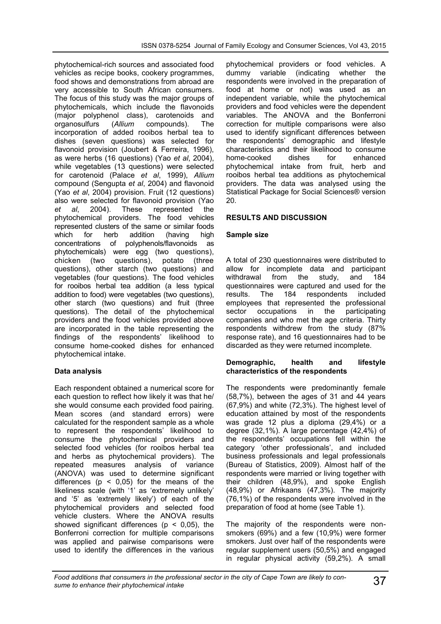phytochemical-rich sources and associated food vehicles as recipe books, cookery programmes, food shows and demonstrations from abroad are very accessible to South African consumers. The focus of this study was the major groups of phytochemicals, which include the flavonoids (major polyphenol class), carotenoids and<br>organosulfurs (Allium compounds). The organosulfurs (*Allium* compounds). The incorporation of added rooibos herbal tea to dishes (seven questions) was selected for flavonoid provision (Joubert & Ferreira, 1996), as were herbs (16 questions) (Yao *et al*, 2004), while vegetables (13 questions) were selected for carotenoid (Palace *et al*, 1999), *Allium*  compound (Sengupta *et al*, 2004) and flavonoid (Yao *et al*, 2004) provision. Fruit (12 questions) also were selected for flavonoid provision (Yao *et al*, 2004). These represented the phytochemical providers. The food vehicles represented clusters of the same or similar foods which for herb addition (having high concentrations of polyphenols/flavonoids as phytochemicals) were egg (two questions), chicken (two questions), potato (three questions), other starch (two questions) and vegetables (four questions). The food vehicles for rooibos herbal tea addition (a less typical addition to food) were vegetables (two questions), other starch (two questions) and fruit (three questions). The detail of the phytochemical providers and the food vehicles provided above are incorporated in the table representing the findings of the respondents' likelihood to consume home-cooked dishes for enhanced phytochemical intake.

## **Data analysis**

Each respondent obtained a numerical score for each question to reflect how likely it was that he/ she would consume each provided food pairing. Mean scores (and standard errors) were calculated for the respondent sample as a whole to represent the respondents' likelihood to consume the phytochemical providers and selected food vehicles (for rooibos herbal tea and herbs as phytochemical providers). The repeated measures analysis of variance (ANOVA) was used to determine significant differences ( $p \le 0.05$ ) for the means of the likeliness scale (with '1' as 'extremely unlikely' and '5' as 'extremely likely') of each of the phytochemical providers and selected food vehicle clusters. Where the ANOVA results showed significant differences ( $p < 0.05$ ), the Bonferroni correction for multiple comparisons was applied and pairwise comparisons were used to identify the differences in the various

phytochemical providers or food vehicles. A dummy variable (indicating whether the respondents were involved in the preparation of food at home or not) was used as an independent variable, while the phytochemical providers and food vehicles were the dependent variables. The ANOVA and the Bonferroni correction for multiple comparisons were also used to identify significant differences between the respondents' demographic and lifestyle characteristics and their likelihood to consume home-cooked phytochemical intake from fruit, herb and rooibos herbal tea additions as phytochemical providers. The data was analysed using the Statistical Package for Social Sciences® version 20.

# **RESULTS AND DISCUSSION**

## **Sample size**

A total of 230 questionnaires were distributed to allow for incomplete data and participant withdrawal from the study, and 184 questionnaires were captured and used for the results. The 184 respondents included results. The 184 respondents employees that represented the professional sector occupations in the participating companies and who met the age criteria. Thirty respondents withdrew from the study (87% response rate), and 16 questionnaires had to be discarded as they were returned incomplete.

#### **Demographic, health and lifestyle characteristics of the respondents**

The respondents were predominantly female (58,7%), between the ages of 31 and 44 years (67,9%) and white (72,3%). The highest level of education attained by most of the respondents was grade 12 plus a diploma (29,4%) or a degree (32,1%). A large percentage (42,4%) of the respondents' occupations fell within the category 'other professionals', and included business professionals and legal professionals (Bureau of Statistics, 2009). Almost half of the respondents were married or living together with their children (48,9%), and spoke English (48,9%) or Afrikaans (47,3%). The majority (76,1%) of the respondents were involved in the preparation of food at home (see Table 1).

The majority of the respondents were nonsmokers (69%) and a few (10,9%) were former smokers. Just over half of the respondents were regular supplement users (50,5%) and engaged in regular physical activity (59,2%). A small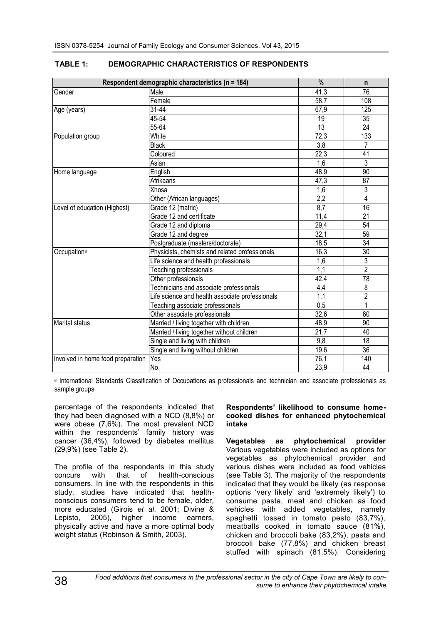|                                   | Respondent demographic characteristics (n = 184) | $\frac{9}{6}$     | n               |
|-----------------------------------|--------------------------------------------------|-------------------|-----------------|
| Gender                            | Male                                             | 41,3              | 76              |
|                                   | Female                                           | 58,7              | 108             |
| Age (years)                       | 31-44                                            | 67,9              | 125             |
|                                   | 45-54                                            | 19                | 35              |
|                                   | $55 - 64$                                        | $\overline{13}$   | $\overline{24}$ |
| Population group                  | White                                            | 72,3              | 133             |
|                                   | <b>Black</b>                                     | $\overline{3,8}$  | 7               |
|                                   | Coloured                                         | 22,3              | 41              |
|                                   | Asian                                            | 1,6               | 3               |
| Home language                     | English                                          | 48,9              | $\overline{90}$ |
|                                   | Afrikaans                                        | 47,3              | 87              |
|                                   | Xhosa                                            | 1,6               | 3               |
|                                   | Other (African languages)                        | 2,2               | 4               |
| Level of education (Highest)      | Grade 12 (matric)                                | 8,7               | 16              |
|                                   | Grade 12 and certificate                         | 11,4              | 21              |
|                                   | Grade 12 and diploma                             | 29,4              | 54              |
|                                   | Grade 12 and degree                              | 32,1              | 59              |
|                                   | Postgraduate (masters/doctorate)                 | 18,5              | 34              |
| Occupation <sup>a</sup>           | Physicists, chemists and related professionals   | 16,3              | $\overline{30}$ |
|                                   | Life science and health professionals            | 1,6               | 3               |
|                                   | Teaching professionals                           | 1,1               | $\overline{2}$  |
|                                   | Other professionals                              | 42,4              | 78              |
|                                   | Technicians and associate professionals          | 4,4               | 8               |
|                                   | Life science and health associate professionals  | $\overline{1,1}$  | $\overline{2}$  |
|                                   | Teaching associate professionals                 | 0.5               | 1               |
|                                   | Other associate professionals                    | 32,6              | 60              |
| Marital status                    | Married / living together with children          | 48,9              | 90              |
|                                   | Married / living together without children       | 21,7              | 40              |
|                                   | Single and living with children                  | 9,8               | 18              |
|                                   | Single and living without children               | 19,6              | $\overline{36}$ |
| Involved in home food preparation | Yes                                              | 76,1              | 140             |
|                                   | Ю                                                | $\overline{23,9}$ | 44              |

# **TABLE 1: DEMOGRAPHIC CHARACTERISTICS OF RESPONDENTS**

a International Standards Classification of Occupations as professionals and technician and associate professionals as sample groups

percentage of the respondents indicated that they had been diagnosed with a NCD (8,8%) or were obese (7,6%). The most prevalent NCD within the respondents' family history was cancer (36,4%), followed by diabetes mellitus (29,9%) (see Table 2).

The profile of the respondents in this study<br>concurs with that of health-conscious concurs with that of consumers. In line with the respondents in this study, studies have indicated that healthconscious consumers tend to be female, older, more educated (Girois *et al*, 2001; Divine & Lepisto, 2005), higher income earners, physically active and have a more optimal body weight status (Robinson & Smith, 2003).

#### **Respondents' likelihood to consume homecooked dishes for enhanced phytochemical intake**

**Vegetables as phytochemical provider**  Various vegetables were included as options for vegetables as phytochemical provider and various dishes were included as food vehicles (see Table 3). The majority of the respondents indicated that they would be likely (as response options 'very likely' and 'extremely likely') to consume pasta, meat and chicken as food vehicles with added vegetables, namely spaghetti tossed in tomato pesto (83,7%), meatballs cooked in tomato sauce (81%), chicken and broccoli bake (83,2%), pasta and broccoli bake (77,8%) and chicken breast stuffed with spinach (81,5%). Considering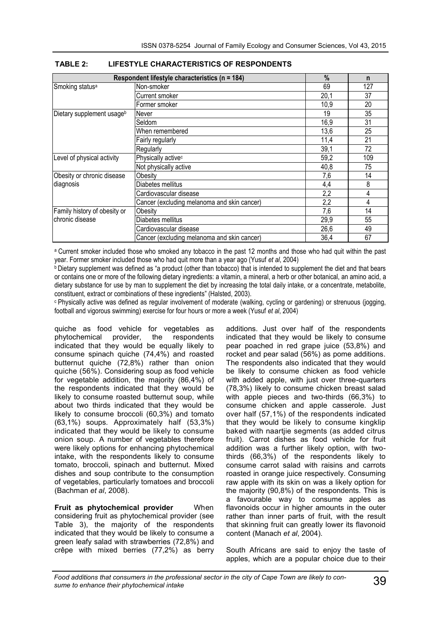|                              | Respondent lifestyle characteristics (n = 184) | %    | n   |
|------------------------------|------------------------------------------------|------|-----|
| Smoking status <sup>a</sup>  | Non-smoker                                     | 69   | 127 |
|                              | Current smoker                                 | 20,1 | 37  |
|                              | Former smoker                                  | 10,9 | 20  |
| Dietary supplement usageb    | Never                                          | 19   | 35  |
|                              | Seldom                                         | 16,9 | 31  |
|                              | When remembered                                | 13,6 | 25  |
|                              | Fairly regularly                               | 11,4 | 21  |
|                              | Regularly                                      | 39,1 | 72  |
| Level of physical activity   | Physically active <sup>c</sup>                 | 59,2 | 109 |
|                              | Not physically active                          | 40,8 | 75  |
| Obesity or chronic disease   | Obesity                                        | 7,6  | 14  |
| diagnosis                    | Diabetes mellitus                              | 4,4  | 8   |
|                              | Cardiovascular disease                         | 2,2  | 4   |
|                              | Cancer (excluding melanoma and skin cancer)    | 2,2  | 4   |
| Family history of obesity or | Obesity                                        | 7,6  | 14  |
| chronic disease              | Diabetes mellitus                              | 29,9 | 55  |
|                              | Cardiovascular disease                         | 26,6 | 49  |
|                              | Cancer (excluding melanoma and skin cancer)    | 36,4 | 67  |

<sup>a</sup> Current smoker included those who smoked any tobacco in the past 12 months and those who had quit within the past year. Former smoker included those who had quit more than a year ago (Yusuf *et al*, 2004)

 $\Phi$  Dietary supplement was defined as "a product (other than tobacco) that is intended to supplement the diet and that bears or contains one or more of the following dietary ingredients: a vitamin, a mineral, a herb or other botanical, an amino acid, a dietary substance for use by man to supplement the diet by increasing the total daily intake, or a concentrate, metabolite, constituent, extract or combinations of these ingredients" (Halsted, 2003).

<sup>c</sup> Physically active was defined as regular involvement of moderate (walking, cycling or gardening) or strenuous (jogging, football and vigorous swimming) exercise for four hours or more a week (Yusuf *et al*, 2004)

quiche as food vehicle for vegetables as<br>phytochemical provider, the respondents phytochemical provider, the respondents indicated that they would be equally likely to consume spinach quiche (74,4%) and roasted butternut quiche (72,8%) rather than onion quiche (56%). Considering soup as food vehicle for vegetable addition, the majority (86,4%) of the respondents indicated that they would be likely to consume roasted butternut soup, while about two thirds indicated that they would be likely to consume broccoli (60,3%) and tomato (63,1%) soups. Approximately half (53,3%) indicated that they would be likely to consume onion soup. A number of vegetables therefore were likely options for enhancing phytochemical intake, with the respondents likely to consume tomato, broccoli, spinach and butternut. Mixed dishes and soup contribute to the consumption of vegetables, particularly tomatoes and broccoli (Bachman *et al*, 2008).

**Fruit as phytochemical provider** When considering fruit as phytochemical provider (see Table 3), the majority of the respondents indicated that they would be likely to consume a green leafy salad with strawberries (72,8%) and crêpe with mixed berries (77,2%) as berry additions. Just over half of the respondents indicated that they would be likely to consume pear poached in red grape juice (53,8%) and rocket and pear salad (56%) as pome additions. The respondents also indicated that they would be likely to consume chicken as food vehicle with added apple, with just over three-quarters (78,3%) likely to consume chicken breast salad with apple pieces and two-thirds (66,3%) to consume chicken and apple casserole. Just over half (57,1%) of the respondents indicated that they would be likely to consume kingklip baked with naartjie segments (as added citrus fruit). Carrot dishes as food vehicle for fruit addition was a further likely option, with twothirds (66,3%) of the respondents likely to consume carrot salad with raisins and carrots roasted in orange juice respectively. Consuming raw apple with its skin on was a likely option for the majority (90,8%) of the respondents. This is a favourable way to consume apples as flavonoids occur in higher amounts in the outer rather than inner parts of fruit, with the result that skinning fruit can greatly lower its flavonoid content (Manach *et al*, 2004).

South Africans are said to enjoy the taste of apples, which are a popular choice due to their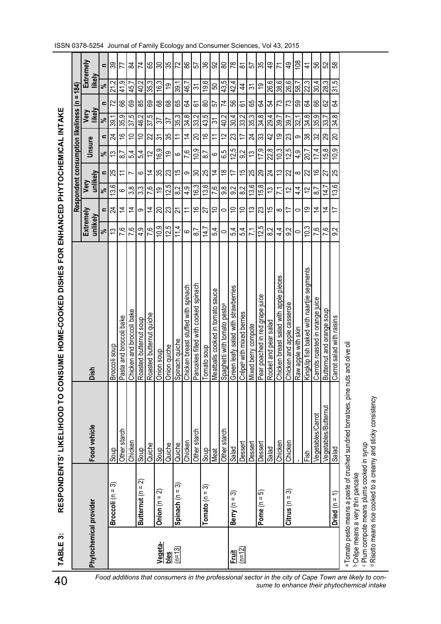| יעבן CONGINE DONGINE שיטה ביטט ביטט ביטט ביינוי יינוי אייטבי היינוי ביינוי יינוי יינוי יינוי יינוי י |
|------------------------------------------------------------------------------------------------------|
|                                                                                                      |
|                                                                                                      |
|                                                                                                      |
|                                                                                                      |
|                                                                                                      |
|                                                                                                      |
|                                                                                                      |
|                                                                                                      |
|                                                                                                      |
|                                                                                                      |
|                                                                                                      |
|                                                                                                      |
|                                                                                                      |
|                                                                                                      |
|                                                                                                      |
|                                                                                                      |
|                                                                                                      |
| RESPONDENTS'                                                                                         |
|                                                                                                      |
|                                                                                                      |
| TABLE 3:                                                                                             |
|                                                                                                      |

| 40                                                                                                                                                 | $\ddot{\bm{\circ}}$<br>TABLE |                                                                                          | RESPONDENTS' LIKELIHOOD TO CO                                                      | <b>ONSUME HOME-COOKED DISHES FOR ENHANCED PHYTOCHEMICAL INTAKE</b>  |                       |                                               |                        |                                          |                                 |                |                 |                     |                                      |
|----------------------------------------------------------------------------------------------------------------------------------------------------|------------------------------|------------------------------------------------------------------------------------------|------------------------------------------------------------------------------------|---------------------------------------------------------------------|-----------------------|-----------------------------------------------|------------------------|------------------------------------------|---------------------------------|----------------|-----------------|---------------------|--------------------------------------|
|                                                                                                                                                    |                              |                                                                                          |                                                                                    |                                                                     |                       |                                               |                        | <b>Respondent consumption likeliness</b> |                                 |                | Ш<br>$\epsilon$ | 184)                |                                      |
|                                                                                                                                                    | Phytochemical provider       |                                                                                          | Food vehicle                                                                       | Dish                                                                | Extremely<br>unlikely |                                               | unlikely<br>Very       |                                          | Unsure                          | likely<br>Very |                 | likely              | Extremely                            |
|                                                                                                                                                    |                              |                                                                                          |                                                                                    |                                                                     | ಸ                     | Ξ                                             | వ్                     | $\%$<br>Ξ.                               | Ξ.                              | వ్             | Ξ               | వ్                  | Ξ                                    |
|                                                                                                                                                    |                              | ᢛ<br>Broccoli ( $n =$                                                                    | Soup                                                                               | soup<br><b>Broccoli</b>                                             | 5                     | 24                                            | 3,6                    | 13<br>25                                 | 24                              | 8              | 22              | Ņ                   | వి                                   |
|                                                                                                                                                    |                              |                                                                                          | Other starch                                                                       | Pasta and broccoli bake                                             | 7.6                   | $\dot{4}$                                     | ပ                      | $\overline{8}$                           | $\overset{\circ}{\rightarrow}$  | თ<br>35,       | 89              | တ<br><u>4</u>       | 77                                   |
|                                                                                                                                                    |                              |                                                                                          | Chicken                                                                            | Chicken and broccoli bake                                           | 7.6                   | $\dot{z}$                                     | 3,8                    | 5,4<br>Ľ                                 | $\tilde{=}$                     | 37,5           | 89              | $\frac{15}{4}$      | ಹ                                    |
|                                                                                                                                                    |                              | ন<br>$\sf H$<br>Butternut (n                                                             | Soup                                                                               | Roasted butternut soup                                              | $\frac{9}{4}$         | တ                                             | 33                     | 5,4<br>6                                 | $\tilde{=}$                     | 46,2           | 85              | 40,2                | 74                                   |
|                                                                                                                                                    |                              |                                                                                          | Quiche                                                                             | Roasted butternut quiche                                            | 7.6                   | $\overline{4}$                                | 7,6                    | 57<br>$\overline{4}$                     | 22                              | 37,5           | 89              | 35,3                | 89                                   |
|                                                                                                                                                    | Vegeta-                      | ন<br>Onion $(n =$                                                                        | Soup                                                                               | Onion soup                                                          | 10,9                  | 20                                            | စ္                     | 16,9<br>35                               | $\tilde{\mathfrak{S}}$          | 57             | 68              | S<br><u>َمِ</u>     | 90                                   |
|                                                                                                                                                    | bles                         |                                                                                          | Quiche                                                                             | Onion quiche                                                        | 12,5                  | 23                                            | ഥ<br>₹,                | စ္<br>23                                 | 35                              | 57             | 89              | <u>ဇာ</u>           | 35                                   |
|                                                                                                                                                    | $(n=13)$                     | ᢛ<br>Spinach (n =                                                                        | Quiche                                                                             | Spinach quiche                                                      | 4                     | ᠷ                                             | $\frac{2}{8}$          | ဖ<br>15                                  | Ξ                               | S<br>35,       | 89              | 39.                 | 72                                   |
|                                                                                                                                                    |                              |                                                                                          | Chicken                                                                            | Chicken breast stuffed with spinach                                 | ဖ                     |                                               | 4.9                    | 76<br>တ                                  | $\overline{4}$                  | 34,8           | L3              | r<br>$\overline{4}$ | 86                                   |
|                                                                                                                                                    |                              |                                                                                          | Other starch                                                                       | Pancakes filled with cooked spinach                                 | ၹ                     | $\frac{6}{1}$                                 | <u>က</u><br><u>َمِ</u> | ب<br>پ<br>ន ន                            | ຊ<br>တ                          | $\sim$<br>33,  | ভ               | $\approx$           | 57                                   |
|                                                                                                                                                    |                              | Tomato ( $n = 3$ )                                                                       | Soup                                                                               | Tomato soup                                                         | $\overline{4}$ .      | 27                                            | 13,6                   | ထဲ                                       | $\overset{\circ}{\rightarrow}$  | rò.<br>43,     | 8               | ဖ<br>တ              | 36                                   |
|                                                                                                                                                    |                              |                                                                                          | Meat                                                                               | Meatballs cooked in tomato sauce                                    | ₹<br>ம்               | $\stackrel{\textstyle\circ}{\textstyle\cdot}$ | 7.6                    | ဖ<br>$\dot{4}$                           | ≂                               | స్             | 55              | 50                  | 95                                   |
|                                                                                                                                                    |                              |                                                                                          | Other starch                                                                       | Spaghetti with tomato pesto <sup>a</sup>                            | 0                     | 0                                             | 8.6                    | 65<br>₽                                  | 2                               | 40,2           | 74              | 43.5                | 8                                    |
|                                                                                                                                                    | $rac{\text{Fuit}}{n=12}$     | ᢛ<br>Berry (n =                                                                          | Salad                                                                              | Green leafy salad with strawberries                                 | 5,4                   | $\tilde{c}$                                   | 9.2                    | 12,5<br>17                               | 23                              | 30.4           | 56              | 42,4                | $\overline{78}$                      |
|                                                                                                                                                    |                              |                                                                                          | Dessert                                                                            | Crêpe <sup>b</sup> with mixed berries                               | 54                    | $\Rightarrow$                                 | 82                     | 9 <sup>2</sup><br>15                     | 17                              | 33,2           | 2               | 4                   | ౚ                                    |
|                                                                                                                                                    |                              |                                                                                          | Dessert                                                                            | Mixed berry compote                                                 | 7.1                   | $\tilde{\mathfrak{c}}$                        | 13,6                   | 13<br>25                                 | ನ $ z $                         | رب<br>35,      | 65              | $\approx$           | 있다                                   |
|                                                                                                                                                    |                              | ၐ<br>Pome $(n =$                                                                         | Dessert                                                                            | Pear poached in red grape juice                                     | 12,5                  | 23                                            | œ<br>15,               | 17.<br>29                                | တ့                              | 34,8           | 24              | င္                  |                                      |
|                                                                                                                                                    |                              |                                                                                          | Salad                                                                              | salad<br>Rocket and pear                                            | N<br>ထົ               | $\frac{1}{2}$                                 | 13                     | 22,8<br>24                               | $\overline{4}$                  | 4<br>29,       | 오               | 26,6                | $\frac{6}{7}$                        |
|                                                                                                                                                    |                              |                                                                                          | Chicken                                                                            | pieces<br>$\mathbf{\Omega}$<br>ldde<br>salad with<br>Chicken breast | $4\overline{4}$       | $\infty$                                      |                        | 10,3<br>చ                                | စ္                              | 89,            | 73              | c<br>88             |                                      |
|                                                                                                                                                    |                              | ణ<br>$Citrus(n =$                                                                        | Chicken                                                                            | Chicken and apple casserole                                         | N<br>$\infty$         | $\overline{1}$                                | 12                     | $\tilde{c}$<br>$\overline{22}$           | $\overline{\mathbb{C}}$<br>l LO | 39.            | 73              | 26,6                | $\frac{9}{4}$                        |
|                                                                                                                                                    |                              |                                                                                          |                                                                                    | Raw apple with skin                                                 | 0                     | $\circ$                                       | $\frac{4}{4}$          | 4,9<br>$\infty$ $\approx$                | ၜ႞ႜႜ                            | 32,            | S3              | $\frac{58.7}{22.3}$ | $\underline{\overset{\circ}{\circ}}$ |
|                                                                                                                                                    |                              |                                                                                          | Fish                                                                               | segments<br>Kingklip fish baked with naartjie                       | 10,3                  | ഇ                                             | 51                     | 20,7                                     |                                 | 34,8           | Z,              |                     | 7                                    |
|                                                                                                                                                    |                              |                                                                                          | Vegetables/Carrot                                                                  | Carrots roasted in orange juice                                     | ၒႍ                    | $\overline{4}$                                | $\overline{8}$         | 17.<br>$\overset{\circ}{\tau}$           | 25<br>4                         | თ<br>35,       | 89              | 4<br>80,            | 85                                   |
|                                                                                                                                                    |                              |                                                                                          | Vegetables/Butternut                                                               | Butternut and orange soup                                           | 76                    | $\stackrel{\text{4}}{4}$                      | $\overline{ }$<br>4,   | 15,8<br>27                               | 29                              | సి             | 82              | ო<br>28,            | 52                                   |
|                                                                                                                                                    |                              | Dried ( $n =$                                                                            | <b>Salad</b>                                                                       | Carrot salad with raisins                                           | N<br>တ                | 17                                            | <u>ဖ</u><br>13.        | ₽<br>25                                  | 20<br>တ                         | 34.8           | স্ত             | ΓÒ,<br>ಸ            | 68                                   |
| Food additions that consumers in the professional sector in the city of Cape Town are likely to con-<br>sume to enhance their phytochemical intake |                              | Plum compote means plums cooked in syrup<br><sup>b</sup> Crêpe means a very thin pancake | a Tomato pesto means a paste of crushed sundried tomatoes, pine nuts and olive oil |                                                                     |                       |                                               |                        |                                          |                                 |                |                 |                     |                                      |
|                                                                                                                                                    |                              |                                                                                          | <sup>d</sup> Risotto means rice cooked to a creamy and sticky consistency          |                                                                     |                       |                                               |                        |                                          |                                 |                |                 |                     |                                      |
|                                                                                                                                                    |                              |                                                                                          |                                                                                    |                                                                     |                       |                                               |                        |                                          |                                 |                |                 |                     |                                      |

ISSN 0378-5254 Journal of Family Ecology and Consumer Sciences, Vol 43, 2015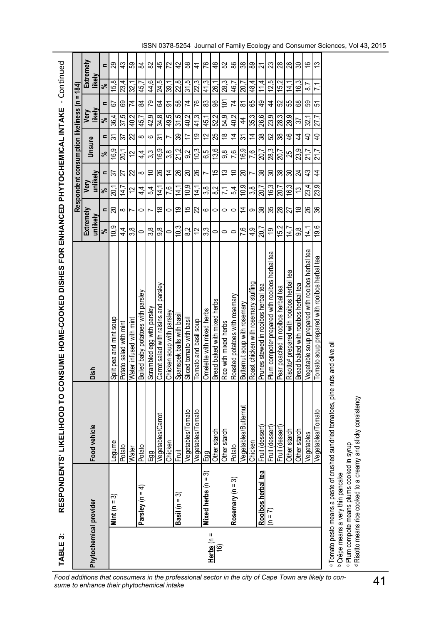| Mint $(n =$<br>Phytochemical provider                                                      |                       |                                                                                    |                                                          |                       |                                 |                  |                 | Respondent consumption likeliness |                                         | $\mathbf{I}$<br>$\epsilon$ | 184)           |                          |
|--------------------------------------------------------------------------------------------|-----------------------|------------------------------------------------------------------------------------|----------------------------------------------------------|-----------------------|---------------------------------|------------------|-----------------|-----------------------------------|-----------------------------------------|----------------------------|----------------|--------------------------|
|                                                                                            |                       | Food vehicle                                                                       | Dish                                                     | Extremely<br>unlikely |                                 | unlikely<br>Very |                 | Unsure                            |                                         | likely<br>Very             | likely         | Extremely                |
|                                                                                            |                       |                                                                                    |                                                          | వ్                    | $\blacksquare$                  | వ                | $\blacksquare$  | $\mathbf{a}$<br>$\approx$         | వ్                                      | $\blacksquare$             | $\approx$      | $\blacksquare$           |
|                                                                                            | ᢛ                     | Legume                                                                             | Split pea and mint soup                                  | 10,9                  | OZ                              | 20,1             | $5\overline{6}$ | 24<br>16,9                        | 36,4                                    | 67                         | 15,8           | 82                       |
|                                                                                            |                       | Potato                                                                             | Potato salad with mint                                   | $\frac{4}{3}$         | $\infty$                        | 14,7             | 27              | 22<br>20,1                        | 37,5                                    | 69                         | 23,4           | $\frac{3}{4}$            |
|                                                                                            |                       | Water                                                                              | Water infused with mint                                  | 38                    | ſ                               | 51               | 22              | 22<br>51                          | 40,2                                    | 74                         | 32,1           | 89                       |
|                                                                                            | Parsley ( $n = 4$ )   | Potato                                                                             | Boiled baby potatoes with parsley                        | $\circ$               | $\circ$                         | $4\overline{4}$  | $\infty$        | $4\overline{4}$                   | 45,7<br>$\infty$                        | 24                         | 45,7           | 84                       |
|                                                                                            |                       | Egg                                                                                | Scrambled egg with parsley                               | 38                    | L                               | 5,4              | $\tilde{0}$     | $\circ$<br>33                     | 42,9                                    | 79                         | 44,6           | 82                       |
|                                                                                            |                       | Carrot<br>Vegetables/                                                              | Carrot salad with raisins and parsley                    | ခြွ                   | $\overset{\infty}{\rightarrow}$ | 14,1             | 26              | $\overline{\mathcal{E}}$<br>16,9  | $8^{+8}$                                | 24                         | 24,5           | 45                       |
|                                                                                            |                       | Chicken                                                                            | Chicken soup with parsley                                | $\circ$               | $\circ$                         | 7.6              | $\dot{z}$       | L<br>3.8                          | 49,5                                    | $\overline{5}$             | 1'65           | 72                       |
|                                                                                            | Basil (n = 3)         | <b>Fruit</b>                                                                       | Spanspek balls with basi                                 | 10.3                  | ć,                              | 14,1             | 82              | 39<br>21,2                        | 31,5                                    | 58                         | 22,8           | 42                       |
|                                                                                            |                       | Vegetables/Tomato                                                                  | Sliced tomato with basil                                 | 82                    | 15                              | 10,9             | $\infty$        | 17<br>92                          | 40,2                                    | 74                         | 31,5           | 89                       |
|                                                                                            |                       | Vegetables/Tomato                                                                  | Tomato and basil soup                                    | 12                    | $\overline{22}$                 | 14,1             | 26              | 10.3                              | 41,3<br>စ္                              | 76                         | 22,3           | 4                        |
|                                                                                            | Mixed herbs $(n = 3)$ | Egg                                                                                | Omelette with mixed herbs                                | 33                    | ဖ                               | $\frac{8}{3}$    | L               | 6,5                               | 45,1<br>12                              | 83                         | 41,3           | 97                       |
| Herbs $(n =$<br>$\overline{6}$                                                             |                       | Other starch                                                                       | Bread baked with mixed herbs                             | $\circ$               | $\circ$                         | 8 <sub>2</sub>   | 15              | 13,6                              | 52,2<br>25                              | 96                         | 26,1           | $\frac{8}{4}$            |
|                                                                                            |                       | Other starch                                                                       | Rice with mixed herbs                                    | $\circ$               | 0                               | $\overline{71}$  | 13              | 9.                                | 54,9<br>$\overset{\infty}{\rightarrow}$ | $\tilde{\Theta}$           | 28,3           | 52                       |
|                                                                                            | Rosemary ( $n = 3$ )  | Potato                                                                             | Roasted potatoes with rosemary                           | $\circ$               | 0                               | 5,4              | $\Rightarrow$   | 76                                | 40,2<br>$\overline{4}$                  | 74                         | 46,7           | 88                       |
|                                                                                            |                       | Vegetables/Butternut                                                               | Butternut soup with rosemary                             | 7.6                   | $\overline{4}$                  | 10,9             | 20              | $\overline{5}$<br>16,9            | $\overline{4}$                          | $\overline{8}$             | 1'07           | $\frac{8}{3}$            |
|                                                                                            |                       | Chicken                                                                            | Roast chicken with rosemary stuffing                     | 4.9                   | တ                               | 3.8              |                 | 7.6                               | 35,3<br>$\tilde{4}$                     | 65                         | 784            | ဆွ                       |
|                                                                                            | Rooibos herbal tea    | Fruit (dessert)                                                                    | Prunes stewed in rooibos herbal tea                      | 20,7                  | 88                              | 20,7             | 38              | 20,7                              | 26,6<br>85                              | $\overline{6}$             | 11,4           | $\overline{\mathcal{E}}$ |
| $(n = 7)$                                                                                  |                       | Fruit (dessert)                                                                    | Plum compote prepared with rooibos herbal tea            | စ္                    | 35                              | 16,3             | $\infty$        | 52<br>28,3                        | 23,9                                    | $\overline{4}$             | 12,5           | 23                       |
|                                                                                            |                       | Fruit (dessert)                                                                    | Pear poached in rooibos herbal tea                       | 15,2                  | $\infty$                        | 20,7             | 38              | 20,7                              | 28,3<br>38                              | 52                         | 15,2           | $^{28}$                  |
|                                                                                            |                       | Other starch                                                                       | ea,<br>Risotto <sup>d</sup> prepared with rooibos herbal | 14.7                  | 27                              | 16,3             | $\mathcal{S}$   | 25                                | 29,9<br>$\frac{6}{5}$                   | 55                         | 14,1           | 26                       |
|                                                                                            |                       | starch<br>Other                                                                    | Bread baked with rooibos herbal tea                      | 9.8                   | $\overset{\infty}{\rightarrow}$ | 13               | $\overline{z}$  | 4<br>23.9                         | $\frac{1}{3}$                           | 8                          | 16,3           | <u>င</u> ္တ              |
|                                                                                            |                       | /egetables                                                                         | Vegetable soup prepared with rooibos herbal tea          | 14.1                  | $\frac{8}{8}$                   | 23,4             | $\frac{3}{4}$   | $\overline{a}$<br>$\overline{21}$ | 32,1                                    | 65                         | $\overline{8}$ | $\frac{6}{5}$            |
|                                                                                            |                       | /egetables/Tomato                                                                  | Tomato soup prepared with rooibos herbal tea             | 9.6                   |                                 | 23,9             | 4               | $\overline{4}$<br>$\overline{21}$ | 27                                      | 51                         | $\sqrt{2}$     | $\tilde{c}$              |
| e Plum compote means plums cooked in syrup<br><sup>b</sup> Crêpe means a very thin pancake |                       | a Tomato pesto means a paste of crushed sundried tomatoes, pine nuts and olive oil |                                                          |                       |                                 |                  |                 |                                   |                                         |                            |                |                          |
|                                                                                            |                       | <sup>d</sup> Risotto means rice cooked to a creamy and sticky consistency          |                                                          |                       |                                 |                  |                 |                                   |                                         |                            |                |                          |

Τ

H

| a Tomato pesto means a paste of crushed sundried tomatoes, pine nuts and olive oil |                                              |  |
|------------------------------------------------------------------------------------|----------------------------------------------|--|
|                                                                                    |                                              |  |
|                                                                                    | <sup>b</sup> Crêpe means a very thin pancake |  |

ISSN 0378-5254 Journal of Family Ecology and Consumer Sciences, Vol 43, 2015

T Т П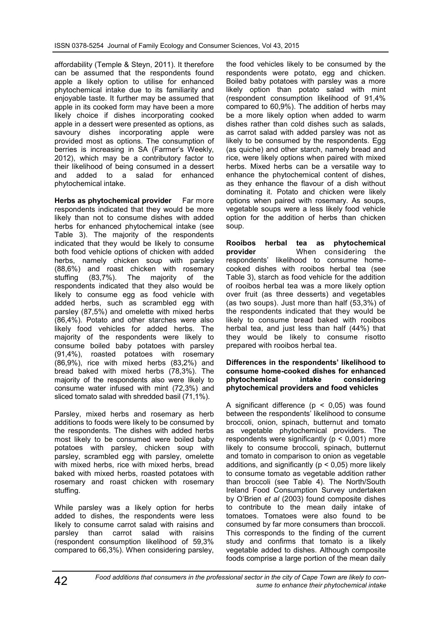affordability (Temple & Steyn, 2011). It therefore can be assumed that the respondents found apple a likely option to utilise for enhanced phytochemical intake due to its familiarity and enjoyable taste. It further may be assumed that apple in its cooked form may have been a more likely choice if dishes incorporating cooked apple in a dessert were presented as options, as savoury dishes incorporating apple were provided most as options. The consumption of berries is increasing in SA (Farmer's Weekly, 2012), which may be a contributory factor to their likelihood of being consumed in a dessert<br>and added to a salad for enhanced added to a salad for enhanced phytochemical intake.

**Herbs as phytochemical provider** Far more respondents indicated that they would be more likely than not to consume dishes with added herbs for enhanced phytochemical intake (see Table 3). The majority of the respondents indicated that they would be likely to consume both food vehicle options of chicken with added herbs, namely chicken soup with parsley (88,6%) and roast chicken with rosemary stuffing (83,7%). The majority of the respondents indicated that they also would be likely to consume egg as food vehicle with added herbs, such as scrambled egg with parsley (87,5%) and omelette with mixed herbs (86,4%). Potato and other starches were also likely food vehicles for added herbs. The majority of the respondents were likely to consume boiled baby potatoes with parsley (91,4%), roasted potatoes with rosemary (86,9%), rice with mixed herbs (83,2%) and bread baked with mixed herbs (78,3%). The majority of the respondents also were likely to consume water infused with mint (72,3%) and sliced tomato salad with shredded basil (71,1%).

Parsley, mixed herbs and rosemary as herb additions to foods were likely to be consumed by the respondents. The dishes with added herbs most likely to be consumed were boiled baby potatoes with parsley, chicken soup with parsley, scrambled egg with parsley, omelette with mixed herbs, rice with mixed herbs, bread baked with mixed herbs, roasted potatoes with rosemary and roast chicken with rosemary stuffing.

While parsley was a likely option for herbs added to dishes, the respondents were less likely to consume carrot salad with raisins and parsley than carrot salad with raisins (respondent consumption likelihood of 59,3% compared to 66,3%). When considering parsley,

the food vehicles likely to be consumed by the respondents were potato, egg and chicken. Boiled baby potatoes with parsley was a more likely option than potato salad with mint (respondent consumption likelihood of 91,4% compared to 60,9%). The addition of herbs may be a more likely option when added to warm dishes rather than cold dishes such as salads, as carrot salad with added parsley was not as likely to be consumed by the respondents. Egg (as quiche) and other starch, namely bread and rice, were likely options when paired with mixed herbs. Mixed herbs can be a versatile way to enhance the phytochemical content of dishes, as they enhance the flavour of a dish without dominating it. Potato and chicken were likely options when paired with rosemary. As soups, vegetable soups were a less likely food vehicle option for the addition of herbs than chicken soup.

**Rooibos herbal tea as phytochemical provider** When considering the respondents' likelihood to consume homecooked dishes with rooibos herbal tea (see Table 3), starch as food vehicle for the addition of rooibos herbal tea was a more likely option over fruit (as three desserts) and vegetables (as two soups). Just more than half (53,3%) of the respondents indicated that they would be likely to consume bread baked with rooibos herbal tea, and just less than half (44%) that they would be likely to consume risotto prepared with rooibos herbal tea.

#### **Differences in the respondents' likelihood to consume home-cooked dishes for enhanced phytochemical intake considering phytochemical providers and food vehicles**

A significant difference ( $p < 0.05$ ) was found between the respondents' likelihood to consume broccoli, onion, spinach, butternut and tomato as vegetable phytochemical providers. The respondents were significantly ( $p < 0.001$ ) more likely to consume broccoli, spinach, butternut and tomato in comparison to onion as vegetable additions, and significantly ( $p < 0.05$ ) more likely to consume tomato as vegetable addition rather than broccoli (see Table 4). The North/South Ireland Food Consumption Survey undertaken by O'Brien *et al* (2003) found composite dishes to contribute to the mean daily intake of tomatoes. Tomatoes were also found to be consumed by far more consumers than broccoli. This corresponds to the finding of the current study and confirms that tomato is a likely vegetable added to dishes. Although composite foods comprise a large portion of the mean daily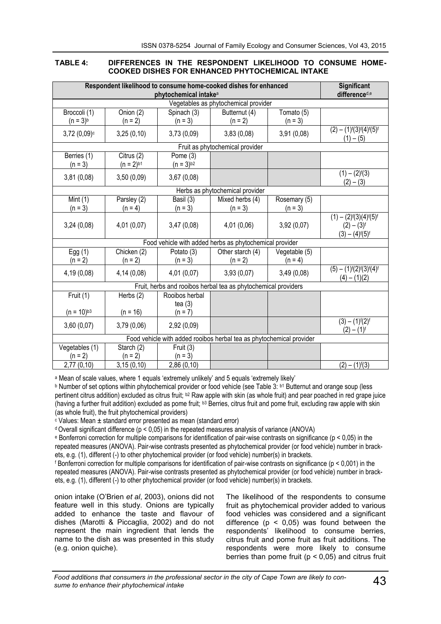#### **TABLE 4: DIFFERENCES IN THE RESPONDENT LIKELIHOOD TO CONSUME HOME-COOKED DISHES FOR ENHANCED PHYTOCHEMICAL INTAKE**

|                                                         |                                                                | phytochemical intake <sup>a</sup> | Respondent likelihood to consume home-cooked dishes for enhanced     |               | Significant<br>differenced,e                                                           |  |
|---------------------------------------------------------|----------------------------------------------------------------|-----------------------------------|----------------------------------------------------------------------|---------------|----------------------------------------------------------------------------------------|--|
|                                                         | Vegetables as phytochemical provider                           |                                   |                                                                      |               |                                                                                        |  |
| Broccoli (1)                                            | Onion (2)                                                      | Spinach (3)                       | Butternut (4)                                                        | Tomato (5)    |                                                                                        |  |
| $(n = 3)^{b}$                                           | $(n = 2)$                                                      | $(n = 3)$                         | $(n = 2)$                                                            | $(n = 3)$     |                                                                                        |  |
| $3,72(0,09)$ c                                          | 3,25(0,10)                                                     | 3,73(0,09)                        | 3,83(0,08)                                                           | 3,91(0,08)    | $(2) - (1)f(3)f(4)f(5)f$<br>$(1) - (5)$                                                |  |
|                                                         |                                                                |                                   | Fruit as phytochemical provider                                      |               |                                                                                        |  |
| Berries (1)<br>$(n = 3)$                                | Citrus $(2)$<br>$(n = 2)^{b1}$                                 | Pome (3)<br>$(n = 3)^{b2}$        |                                                                      |               |                                                                                        |  |
| 3,81(0,08)                                              | 3,50(0,09)                                                     | 3,67(0,08)                        |                                                                      |               | $(1) - (2)$ <sup>f</sup> $(3)$<br>$(2) - (3)$                                          |  |
|                                                         |                                                                |                                   | Herbs as phytochemical provider                                      |               |                                                                                        |  |
| Mint $(1)$                                              | Parsley (2)                                                    | Basil (3)                         | Mixed herbs (4)                                                      | Rosemary (5)  |                                                                                        |  |
| $(n = 3)$                                               | $(n = 4)$                                                      | $(n = 3)$                         | $(n = 3)$                                                            | $(n = 3)$     |                                                                                        |  |
| 3,24(0,08)                                              | 4,01 (0,07)                                                    | 3,47(0,08)                        | 4,01 (0,06)                                                          | 3,92(0,07)    | $(1) - (2)i(3)(4)i(5)i$<br>$(2) - (3)f$<br>$(3) - (4)$ <sup>f</sup> $(5)$ <sup>f</sup> |  |
| Food vehicle with added herbs as phytochemical provider |                                                                |                                   |                                                                      |               |                                                                                        |  |
| Egg $(1)$                                               | Chicken (2)                                                    | Potato (3)                        | Other starch (4)                                                     | Vegetable (5) |                                                                                        |  |
| $(n = 2)$                                               | $(n = 2)$                                                      | $(n = 3)$                         | $(n = 2)$                                                            | $(n = 4)$     |                                                                                        |  |
| 4,19(0,08)                                              | 4,14 (0,08)                                                    | 4,01 (0,07)                       | 3,93(0,07)                                                           | 3,49(0,08)    | $(5) - (1)f(2)f(3)f(4)f$<br>$(4) - (1)(2)$                                             |  |
|                                                         | Fruit, herbs and rooibos herbal tea as phytochemical providers |                                   |                                                                      |               |                                                                                        |  |
| Fruit $(1)$                                             | Herbs (2)                                                      | Rooibos herbal                    |                                                                      |               |                                                                                        |  |
|                                                         |                                                                | tea $(3)$                         |                                                                      |               |                                                                                        |  |
| $(n = 10)^{b3}$                                         | $(n = 16)$                                                     | $(n = 7)$                         |                                                                      |               |                                                                                        |  |
| 3,60(0,07)                                              | 3,79(0,06)                                                     | 2,92 (0,09)                       |                                                                      |               | $(3) - (1)f(2)f$<br>$(2) - (1)f$                                                       |  |
|                                                         |                                                                |                                   | Food vehicle with added rooibos herbal tea as phytochemical provider |               |                                                                                        |  |
| Vegetables (1)                                          | Starch (2)                                                     | Fruit (3)                         |                                                                      |               |                                                                                        |  |
| $(n = 2)$                                               | $(n = 2)$                                                      | $(n = 3)$                         |                                                                      |               |                                                                                        |  |
| 2,77(0,10)                                              | 3,15(0,10)                                                     | 2,86(0,10)                        |                                                                      |               | $(2) - (1)f(3)$                                                                        |  |

<sup>a</sup> Mean of scale values, where 1 equals 'extremely unlikely' and 5 equals 'extremely likely'

**b** Number of set options within phytochemical provider or food vehicle (see Table 3: b1 Butternut and orange soup (less pertinent citrus addition) excluded as citrus fruit; b2 Raw apple with skin (as whole fruit) and pear poached in red grape juice (having a further fruit addition) excluded as pome fruit; b3 Berries, citrus fruit and pome fruit, excluding raw apple with skin (as whole fruit), the fruit phytochemical providers)

<sup>c</sup> Values: Mean ± standard error presented as mean (standard error)

 $d$  Overall significant difference ( $p < 0.05$ ) in the repeated measures analysis of variance (ANOVA)

<sup>e</sup> Bonferroni correction for multiple comparisons for identification of pair-wise contrasts on significance (p < 0,05) in the repeated measures (ANOVA). Pair-wise contrasts presented as phytochemical provider (or food vehicle) number in brackets, e.g. (1), different (-) to other phytochemical provider (or food vehicle) number(s) in brackets.

f Bonferroni correction for multiple comparisons for identification of pair-wise contrasts on significance ( $p < 0.001$ ) in the repeated measures (ANOVA). Pair-wise contrasts presented as phytochemical provider (or food vehicle) number in brackets, e.g. (1), different (-) to other phytochemical provider (or food vehicle) number(s) in brackets.

onion intake (O'Brien *et al*, 2003), onions did not feature well in this study. Onions are typically added to enhance the taste and flavour of dishes (Marotti & Piccaglia, 2002) and do not represent the main ingredient that lends the name to the dish as was presented in this study (e.g. onion quiche).

The likelihood of the respondents to consume fruit as phytochemical provider added to various food vehicles was considered and a significant difference ( $p < 0.05$ ) was found between the respondents' likelihood to consume berries, citrus fruit and pome fruit as fruit additions. The respondents were more likely to consume berries than pome fruit ( $p < 0.05$ ) and citrus fruit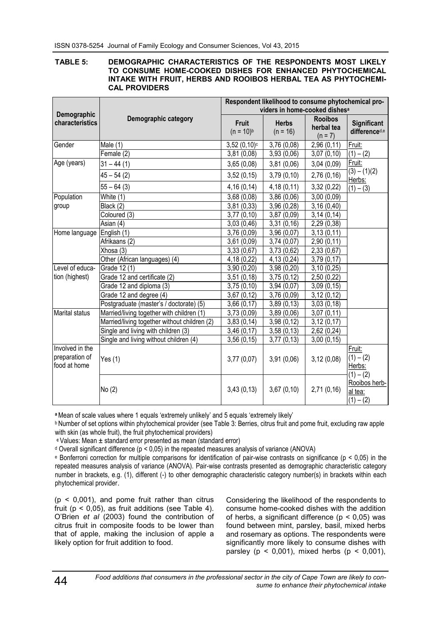#### **TABLE 5: DEMOGRAPHIC CHARACTERISTICS OF THE RESPONDENTS MOST LIKELY TO CONSUME HOME-COOKED DISHES FOR ENHANCED PHYTOCHEMICAL INTAKE WITH FRUIT, HERBS AND ROOIBOS HERBAL TEA AS PHYTOCHEMI-CAL PROVIDERS**

|                                                   |                                              |                                | Respondent likelihood to consume phytochemical pro-<br>viders in home-cooked dishes <sup>a</sup> |                                           |                                                |  |  |
|---------------------------------------------------|----------------------------------------------|--------------------------------|--------------------------------------------------------------------------------------------------|-------------------------------------------|------------------------------------------------|--|--|
| Demographic<br>characteristics                    | Demographic category                         | <b>Fruit</b><br>$(n = 10)^{b}$ | <b>Herbs</b><br>$(n = 16)$                                                                       | <b>Rooibos</b><br>herbal tea<br>$(n = 7)$ | Significant<br>differenced,e                   |  |  |
| Gender                                            | Male (1)                                     | $3,52(0,10)$ <sup>c</sup>      | 3,76(0,08)                                                                                       | 2,96(0,11)                                | Fruit:                                         |  |  |
|                                                   | Female (2)                                   | 3,81(0,08)                     | 3,93(0,06)                                                                                       | 3,07(0,10)                                | $(1) - (2)$                                    |  |  |
| Age (years)                                       | $31 - 44(1)$                                 | 3,65(0,08)                     | 3,81(0,06)                                                                                       | 3,04(0,09)                                | Fruit:                                         |  |  |
|                                                   | $45 - 54(2)$                                 | 3,52(0,15)                     | 3,79(0,10)                                                                                       | 2,76(0,16)                                | $(3) - (1)(2)$<br>Herbs:                       |  |  |
|                                                   | $55 - 64(3)$                                 | 4,16(0,14)                     | 4,18(0,11)                                                                                       | 3,32(0,22)                                | $(1) - (3)$                                    |  |  |
| Population                                        | White (1)                                    | 3,68(0,08)                     | 3,86(0,06)                                                                                       | 3,00(0,09)                                |                                                |  |  |
| group                                             | Black (2)                                    | 3,81(0,33)                     | 3,96 (0,28)                                                                                      | 3,16(0,40)                                |                                                |  |  |
|                                                   | Coloured (3)                                 | 3,77(0,10)                     | 3,87(0,09)                                                                                       | 3,14(0,14)                                |                                                |  |  |
|                                                   | Asian (4)                                    | 3,03(0,46)                     | 3,31(0,16)                                                                                       | 2,29(0,38)                                |                                                |  |  |
| Home language                                     | English (1)                                  | 3,76(0,09)                     | 3,96 (0,07)                                                                                      | 3,13(0,11)                                |                                                |  |  |
|                                                   | Afrikaans (2)                                | 3,61(0,09)                     | 3,74(0,07)                                                                                       | 2,90(0,11)                                |                                                |  |  |
|                                                   | Xhosa (3)                                    | 3,33(0,67)                     | 3,73(0,62)                                                                                       | 2,33(0,67)                                |                                                |  |  |
|                                                   | Other (African languages) (4)                | 4,18 (0,22)                    | 4,13 (0,24)                                                                                      | 3,79(0,17)                                |                                                |  |  |
| Level of educa-                                   | Grade 12 (1)                                 | 3,90(0,20)                     | $\overline{3,98}$ (0,20)                                                                         | 3,10(0,25)                                |                                                |  |  |
| tion (highest)                                    | Grade 12 and certificate (2)                 | 3,51(0,18)                     | 3,75(0,12)                                                                                       | 2,50 (0,22)                               |                                                |  |  |
|                                                   | Grade 12 and diploma (3)                     | 3,75(0,10)                     | 3,94(0,07)                                                                                       | 3,09(0,15)                                |                                                |  |  |
|                                                   | Grade 12 and degree (4)                      | 3,67(0,12)                     | 3,76 (0,09)                                                                                      | 3,12(0,12)                                |                                                |  |  |
|                                                   | Postgraduate (master's / doctorate) (5)      | 3,66(0,17)                     | 3,89(0,13)                                                                                       | 3,03(0,18)                                |                                                |  |  |
| <b>Marital status</b>                             | Married/living together with children (1)    | 3,73(0,09)                     | 3,89 (0,06)                                                                                      | 3,07(0,11)                                |                                                |  |  |
|                                                   | Married/living together without children (2) | 3,83(0,14)                     | 3,98(0,12)                                                                                       | 3,12(0,17)                                |                                                |  |  |
|                                                   | Single and living with children (3)          | 3,46(0,17)                     | 3,58(0,13)                                                                                       | 2,62(0,24)                                |                                                |  |  |
|                                                   | Single and living without children (4)       | 3,56(0,15)                     | 3,77(0,13)                                                                                       | 3,00(0,15)                                |                                                |  |  |
| Involved in the<br>preparation of<br>food at home | Yes $(1)$                                    | 3,77(0,07)                     | 3,91(0,06)                                                                                       | 3,12(0,08)                                | Fruit:<br>$(1) - (2)$<br>Herbs:<br>$(1) - (2)$ |  |  |
|                                                   | No (2)                                       | 3,43(0,13)                     | 3,67(0,10)                                                                                       | 2,71(0,16)                                | Rooibos herb-<br>al tea:<br>$(1) - (2)$        |  |  |

**<sup>a</sup>**Mean of scale values where 1 equals 'extremely unlikely' and 5 equals 'extremely likely'

**b** Number of set options within phytochemical provider (see Table 3: Berries, citrus fruit and pome fruit, excluding raw apple with skin (as whole fruit), the fruit phytochemical providers)

**<sup>c</sup>**Values: Mean ± standard error presented as mean (standard error)

 $d$  Overall significant difference ( $p < 0.05$ ) in the repeated measures analysis of variance (ANOVA)

 $e$  Bonferroni correction for multiple comparisons for identification of pair-wise contrasts on significance ( $p < 0.05$ ) in the repeated measures analysis of variance (ANOVA). Pair-wise contrasts presented as demographic characteristic category number in brackets, e.g. (1), different (-) to other demographic characteristic category number(s) in brackets within each phytochemical provider.

 $(p < 0.001)$ , and pome fruit rather than citrus fruit ( $p < 0.05$ ), as fruit additions (see Table 4). O'Brien *et al* (2003) found the contribution of citrus fruit in composite foods to be lower than that of apple, making the inclusion of apple a likely option for fruit addition to food.

Considering the likelihood of the respondents to consume home-cooked dishes with the addition of herbs, a significant difference ( $p < 0.05$ ) was found between mint, parsley, basil, mixed herbs and rosemary as options. The respondents were significantly more likely to consume dishes with parsley ( $p < 0.001$ ), mixed herbs ( $p < 0.001$ ),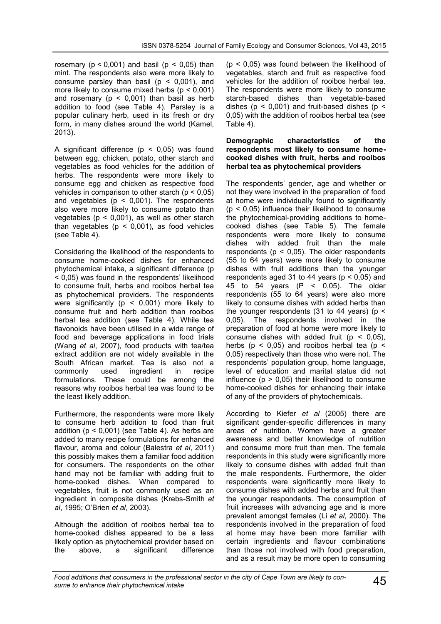rosemary ( $p < 0.001$ ) and basil ( $p < 0.05$ ) than mint. The respondents also were more likely to consume parsley than basil ( $p < 0.001$ ), and more likely to consume mixed herbs  $(p < 0.001)$ and rosemary ( $p < 0,001$ ) than basil as herb addition to food (see Table 4). Parsley is a popular culinary herb, used in its fresh or dry form, in many dishes around the world (Kamel, 2013).

A significant difference ( $p < 0.05$ ) was found between egg, chicken, potato, other starch and vegetables as food vehicles for the addition of herbs. The respondents were more likely to consume egg and chicken as respective food vehicles in comparison to other starch ( $p < 0.05$ ) and vegetables ( $p < 0,001$ ). The respondents also were more likely to consume potato than vegetables ( $p < 0.001$ ), as well as other starch than vegetables ( $p < 0.001$ ), as food vehicles (see Table 4).

Considering the likelihood of the respondents to consume home-cooked dishes for enhanced phytochemical intake, a significant difference (p < 0,05) was found in the respondents' likelihood to consume fruit, herbs and rooibos herbal tea as phytochemical providers. The respondents were significantly ( $p < 0,001$ ) more likely to consume fruit and herb addition than rooibos herbal tea addition (see Table 4). While tea flavonoids have been utilised in a wide range of food and beverage applications in food trials (Wang *et al*, 2007), food products with tea/tea extract addition are not widely available in the South African market. Tea is also not a commonly used ingredient in recipe formulations. These could be among the reasons why rooibos herbal tea was found to be the least likely addition.

Furthermore, the respondents were more likely to consume herb addition to food than fruit addition ( $p < 0.001$ ) (see Table 4). As herbs are added to many recipe formulations for enhanced flavour, aroma and colour (Balestra *et al*, 2011) this possibly makes them a familiar food addition for consumers. The respondents on the other hand may not be familiar with adding fruit to home-cooked dishes. When compared to vegetables, fruit is not commonly used as an ingredient in composite dishes (Krebs-Smith *et al*, 1995; O'Brien *et al*, 2003).

Although the addition of rooibos herbal tea to home-cooked dishes appeared to be a less likely option as phytochemical provider based on the above, a significant difference  $(p < 0.05)$  was found between the likelihood of vegetables, starch and fruit as respective food vehicles for the addition of rooibos herbal tea. The respondents were more likely to consume starch-based dishes than vegetable-based dishes ( $p < 0.001$ ) and fruit-based dishes ( $p <$ 0,05) with the addition of rooibos herbal tea (see Table 4).

#### **Demographic characteristics of the respondents most likely to consume homecooked dishes with fruit, herbs and rooibos herbal tea as phytochemical providers**

The respondents' gender, age and whether or not they were involved in the preparation of food at home were individually found to significantly  $(p < 0.05)$  influence their likelihood to consume the phytochemical-providing additions to homecooked dishes (see Table 5). The female respondents were more likely to consume dishes with added fruit than the male respondents ( $p < 0.05$ ). The older respondents (55 to 64 years) were more likely to consume dishes with fruit additions than the younger respondents aged 31 to 44 years ( $p < 0.05$ ) and 45 to 54 years (P < 0,05). The older respondents (55 to 64 years) were also more likely to consume dishes with added herbs than the younger respondents (31 to 44 years) ( $p <$ 0,05). The respondents involved in the preparation of food at home were more likely to consume dishes with added fruit  $(p < 0.05)$ , herbs ( $p < 0.05$ ) and rooibos herbal tea ( $p <$ 0,05) respectively than those who were not. The respondents' population group, home language, level of education and marital status did not influence ( $p > 0.05$ ) their likelihood to consume home-cooked dishes for enhancing their intake of any of the providers of phytochemicals.

According to Kiefer *et al* (2005) there are significant gender-specific differences in many areas of nutrition. Women have a greater awareness and better knowledge of nutrition and consume more fruit than men. The female respondents in this study were significantly more likely to consume dishes with added fruit than the male respondents. Furthermore, the older respondents were significantly more likely to consume dishes with added herbs and fruit than the younger respondents. The consumption of fruit increases with advancing age and is more prevalent amongst females (Li *et al*, 2000). The respondents involved in the preparation of food at home may have been more familiar with certain ingredients and flavour combinations than those not involved with food preparation, and as a result may be more open to consuming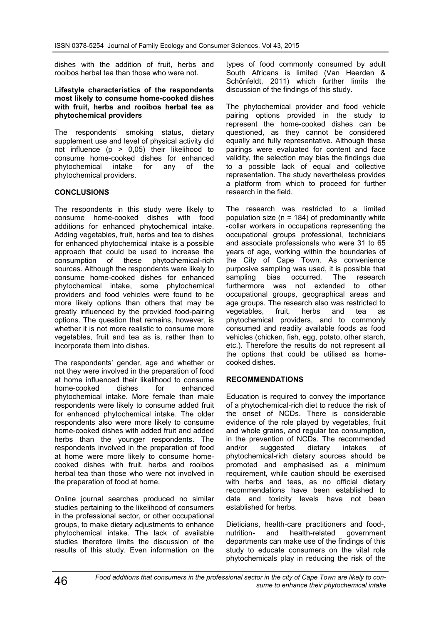dishes with the addition of fruit, herbs and rooibos herbal tea than those who were not.

**Lifestyle characteristics of the respondents most likely to consume home-cooked dishes with fruit, herbs and rooibos herbal tea as phytochemical providers**

The respondents' smoking status, dietary supplement use and level of physical activity did not influence  $(p > 0.05)$  their likelihood to consume home-cooked dishes for enhanced phytochemical intake for any of the phytochemical providers.

## **CONCLUSIONS**

The respondents in this study were likely to consume home-cooked dishes with food additions for enhanced phytochemical intake. Adding vegetables, fruit, herbs and tea to dishes for enhanced phytochemical intake is a possible approach that could be used to increase the consumption of these phytochemical-rich sources. Although the respondents were likely to consume home-cooked dishes for enhanced phytochemical intake, some phytochemical providers and food vehicles were found to be more likely options than others that may be greatly influenced by the provided food-pairing options. The question that remains, however, is whether it is not more realistic to consume more vegetables, fruit and tea as is, rather than to incorporate them into dishes.

The respondents' gender, age and whether or not they were involved in the preparation of food at home influenced their likelihood to consume<br>home-cooked dishes for enhanced home-cooked dishes for phytochemical intake. More female than male respondents were likely to consume added fruit for enhanced phytochemical intake. The older respondents also were more likely to consume home-cooked dishes with added fruit and added herbs than the younger respondents. The respondents involved in the preparation of food at home were more likely to consume homecooked dishes with fruit, herbs and rooibos herbal tea than those who were not involved in the preparation of food at home.

Online journal searches produced no similar studies pertaining to the likelihood of consumers in the professional sector, or other occupational groups, to make dietary adjustments to enhance phytochemical intake. The lack of available studies therefore limits the discussion of the results of this study. Even information on the

types of food commonly consumed by adult South Africans is limited (Van Heerden & Schönfeldt, 2011) which further limits the discussion of the findings of this study.

The phytochemical provider and food vehicle pairing options provided in the study to represent the home-cooked dishes can be questioned, as they cannot be considered equally and fully representative. Although these pairings were evaluated for content and face validity, the selection may bias the findings due to a possible lack of equal and collective representation. The study nevertheless provides a platform from which to proceed for further research in the field.

The research was restricted to a limited population size ( $n = 184$ ) of predominantly white -collar workers in occupations representing the occupational groups professional, technicians and associate professionals who were 31 to 65 years of age, working within the boundaries of the City of Cape Town. As convenience purposive sampling was used, it is possible that<br>sampling bias occurred. The research sampling bias occurred. The research furthermore was not extended to other occupational groups, geographical areas and age groups. The research also was restricted to vegetables, fruit, herbs and tea as phytochemical providers, and to commonly consumed and readily available foods as food vehicles (chicken, fish, egg, potato, other starch, etc.). Therefore the results do not represent all the options that could be utilised as homecooked dishes.

#### **RECOMMENDATIONS**

Education is required to convey the importance of a phytochemical-rich diet to reduce the risk of the onset of NCDs. There is considerable evidence of the role played by vegetables, fruit and whole grains, and regular tea consumption, in the prevention of NCDs. The recommended and/or suggested dietary intakes of phytochemical-rich dietary sources should be promoted and emphasised as a minimum requirement, while caution should be exercised with herbs and teas, as no official dietary recommendations have been established to date and toxicity levels have not been established for herbs.

Dieticians, health-care practitioners and food-,<br>nutrition- and health-related government nutrition- and health-related departments can make use of the findings of this study to educate consumers on the vital role phytochemicals play in reducing the risk of the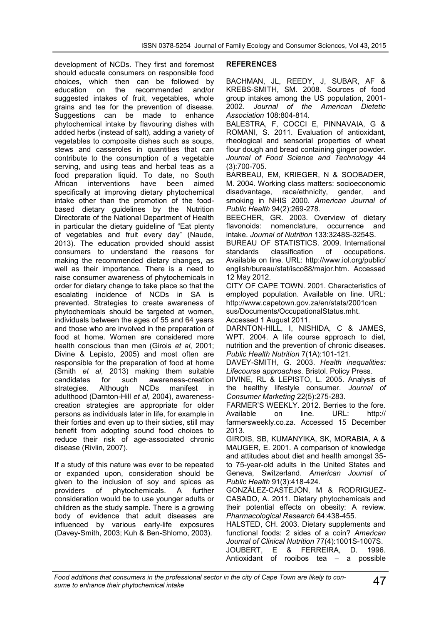development of NCDs. They first and foremost should educate consumers on responsible food choices, which then can be followed by education on the recommended and/or suggested intakes of fruit, vegetables, whole grains and tea for the prevention of disease. Suggestions can be made to enhance phytochemical intake by flavouring dishes with added herbs (instead of salt), adding a variety of vegetables to composite dishes such as soups, stews and casseroles in quantities that can contribute to the consumption of a vegetable serving, and using teas and herbal teas as a food preparation liquid. To date, no South<br>African interventions have been aimed interventions have specifically at improving dietary phytochemical intake other than the promotion of the foodbased dietary guidelines by the Nutrition Directorate of the National Department of Health in particular the dietary guideline of "Eat plenty of vegetables and fruit every day" (Naude, 2013). The education provided should assist consumers to understand the reasons for making the recommended dietary changes, as well as their importance. There is a need to raise consumer awareness of phytochemicals in order for dietary change to take place so that the escalating incidence of NCDs in SA is prevented. Strategies to create awareness of phytochemicals should be targeted at women, individuals between the ages of 55 and 64 years and those who are involved in the preparation of food at home. Women are considered more health conscious than men (Girois *et al*, 2001; Divine & Lepisto, 2005) and most often are responsible for the preparation of food at home (Smith *et al*, 2013) making them suitable candidates for such awareness-creation<br>strategies. Although NCDs manifest in strategies. Although NCDs manifest in adulthood (Darnton-Hill *et al*, 2004), awarenesscreation strategies are appropriate for older persons as individuals later in life, for example in their forties and even up to their sixties, still may benefit from adopting sound food choices to reduce their risk of age-associated chronic disease (Rivlin, 2007).

If a study of this nature was ever to be repeated or expanded upon, consideration should be given to the inclusion of soy and spices as providers of phytochemicals. A further consideration would be to use younger adults or children as the study sample. There is a growing body of evidence that adult diseases are influenced by various early-life exposures (Davey-Smith, 2003; Kuh & Ben-Shlomo, 2003).

#### **REFERENCES**

BACHMAN, JL, REEDY, J, SUBAR, AF & KREBS-SMITH, SM. 2008. Sources of food group intakes among the US population, 2001- 2002. *Journal of the American Dietetic Association* 108:804-814.

BALESTRA, F, COCCI E, PINNAVAIA, G & ROMANI, S. 2011. Evaluation of antioxidant, rheological and sensorial properties of wheat flour dough and bread containing ginger powder. *Journal of Food Science and Technology* 44 (3):700-705.

BARBEAU, EM, KRIEGER, N & SOOBADER, M. 2004. Working class matters: socioeconomic disadvantage, race/ethnicity, gender, and smoking in NHIS 2000. *American Journal of Public Health* 94(2):269-278.

BEECHER, GR. 2003. Overview of dietary flavonoids: nomenclature, occurrence and intake. *Journal of Nutrition* 133:3248S-3254S.

BUREAU OF STATISTICS. 2009. International standards classification of occupations. Available on line. URL: http://www.iol.org/public/ english/bureau/stat/isco88/major.htm. Accessed 12 May 2012.

CITY OF CAPE TOWN. 2001. Characteristics of employed population. Available on line. URL: http://www.capetown.gov.za/en/stats/2001cen sus/Documents/OccupationalStatus.mht. Accessed 1 August 2011.

DARNTON-HILL, I, NISHIDA, C & JAMES, WPT. 2004. A life course approach to diet, nutrition and the prevention of chronic diseases. *Public Health Nutrition* 7(1A):101-121.

DAVEY-SMITH, G. 2003. *Health inequalities: Lifecourse approaches*. Bristol. Policy Press.

DIVINE, RL & LEPISTO, L. 2005. Analysis of the healthy lifestyle consumer. *Journal of Consumer Marketing* 22(5):275-283.

FARMER'S WEEKLY. 2012. Berries to the fore. Available on line. URL: http:// farmersweekly.co.za. Accessed 15 December 2013.

GIROIS, SB, KUMANYIKA, SK, MORABIA, A & MAUGER, E. 2001. A comparison of knowledge and attitudes about diet and health amongst 35 to 75-year-old adults in the United States and Geneva, Switzerland. *American Journal of Public Health* 91(3):418-424.

GONZÁLEZ-CASTEJÓN, M & RODRIGUEZ-CASADO, A. 2011. Dietary phytochemicals and their potential effects on obesity: A review. *Pharmacological Research* 64:438-455.

HALSTED, CH. 2003. Dietary supplements and functional foods: 2 sides of a coin? *American Journal of Clinical Nutrition* 77(4):1001S-1007S. JOUBERT, E & FERREIRA, D. 1996. Antioxidant of rooibos tea – a possible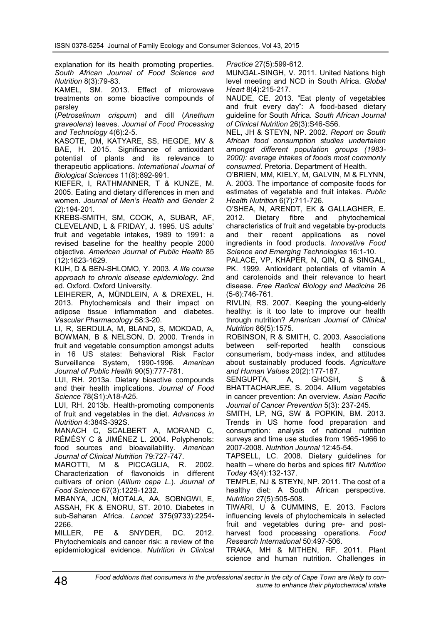explanation for its health promoting properties. *South African Journal of Food Science and Nutrition* 8(3):79-83.

KAMEL, SM. 2013. Effect of microwave treatments on some bioactive compounds of parsley

(*Petroselinum crispum*) and dill (*Anethum graveolens*) leaves. *Journal of Food Processing and Technology* 4(6):2-5.

KASOTE, DM, KATYARE, SS, HEGDE, MV & BAE, H. 2015. Significance of antioxidant potential of plants and its relevance to therapeutic applications. *International Journal of Biological Sciences* 11(8):892-991.

KIEFER, I, RATHMANNER, T & KUNZE, M. 2005. Eating and dietary differences in men and women. *Journal of Men's Health and Gender* 2 (2):194-201.

KREBS-SMITH, SM, COOK, A, SUBAR, AF, CLEVELAND, L & FRIDAY, J. 1995. US adults' fruit and vegetable intakes, 1989 to 1991: a revised baseline for the healthy people 2000 objective. *American Journal of Public Health* 85 (12):1623-1629.

KUH, D & BEN-SHLOMO, Y. 2003. *A life course approach to chronic disease epidemiology*. 2nd ed. Oxford. Oxford University.

LEIHERER, A, MÜNDLEIN, A & DREXEL, H. 2013. Phytochemicals and their impact on adipose tissue inflammation and diabetes. *Vascular Pharmacology* 58:3-20.

LI, R, SERDULA, M, BLAND, S, MOKDAD, A, BOWMAN, B & NELSON, D. 2000. Trends in fruit and vegetable consumption amongst adults in 16 US states: Behavioral Risk Factor Surveillance System, 1990-1996. *American Journal of Public Health* 90(5):777-781.

LUI, RH. 2013a. Dietary bioactive compounds and their health implications. *Journal of Food Science* 78(S1):A18-A25.

LUI, RH. 2013b. Health-promoting components of fruit and vegetables in the diet. *Advances in Nutrition* 4:384S-392S.

MANACH C, SCALBERT A, MORAND C, RÉMÉSY C & JIMÉNEZ L. 2004. Polyphenols: food sources and bioavailability. *American Journal of Clinical Nutrition* 79:727-747.

MAROTTI, M & PICCAGLIA, R. 2002. Characterization of flavonoids in different cultivars of onion (*Allium cepa L*.). *Journal of Food Science* 67(3):1229-1232.

MBANYA, JCN, MOTALA, AA, SOBNGWI, E, ASSAH, FK & ENORU, ST. 2010. Diabetes in sub-Saharan Africa. *Lancet* 375(9733):2254- 2266.

MILLER, PE & SNYDER, DC. 2012. Phytochemicals and cancer risk: a review of the epidemiological evidence. *Nutrition in Clinical*  *Practice* 27(5):599-612.

MUNGAL-SINGH, V. 2011. United Nations high level meeting and NCD in South Africa. *Global Heart* 8(4):215-217.

NAUDE, CE. 2013. "Eat plenty of vegetables and fruit every day": A food-based dietary guideline for South Africa. *South African Journal of Clinical Nutrition* 26(3):S46-S56.

NEL, JH & STEYN, NP. 2002. *Report on South African food consumption studies undertaken amongst different population groups (1983- 2000): average intakes of foods most commonly consumed*. Pretoria. Department of Health.

O'BRIEN, MM, KIELY, M, GALVIN, M & FLYNN, A. 2003. The importance of composite foods for estimates of vegetable and fruit intakes. *Public Health Nutrition* 6(7):711-726.

O'SHEA, N, ARENDT, EK & GALLAGHER, E. 2012. Dietary fibre and phytochemical characteristics of fruit and vegetable by-products and their recent applications as novel ingredients in food products. *Innovative Food Science and Emerging Technologies* 16:1-10.

PALACE, VP, KHAPER, N, QIN, Q & SINGAL, PK. 1999. Antioxidant potentials of vitamin A and carotenoids and their relevance to heart disease*. Free Radical Biology and Medicine* 26 (5-6):746-761.

RIVLIN, RS. 2007. Keeping the young-elderly healthy: is it too late to improve our health through nutrition? *American Journal of Clinical Nutrition* 86(5):1575.

ROBINSON, R & SMITH, C. 2003. Associations between self-reported health conscious consumerism, body-mass index, and attitudes about sustainably produced foods. *Agriculture and Human Values* 20(2):177-187.

SENGUPTA, A, GHOSH, S & BHATTACHARJEE, S. 2004. Allium vegetables in cancer prevention: An overview. *Asian Pacific Journal of Cancer Prevention* 5(3): 237-245.

SMITH, LP, NG, SW & POPKIN, BM. 2013. Trends in US home food preparation and consumption: analysis of national nutrition surveys and time use studies from 1965-1966 to 2007-2008. *Nutrition Journal* 12:45-54.

TAPSELL, LC. 2008. Dietary guidelines for health – where do herbs and spices fit? *Nutrition Today* 43(4):132-137.

TEMPLE, NJ & STEYN, NP. 2011. The cost of a healthy diet: A South African perspective. *Nutrition* 27(5):505-508.

TIWARI, U & CUMMINS, E. 2013. Factors influencing levels of phytochemicals in selected fruit and vegetables during pre- and postharvest food processing operations. *Food Research International* 50:497-506.

TRAKA, MH & MITHEN, RF. 2011. Plant science and human nutrition. Challenges in